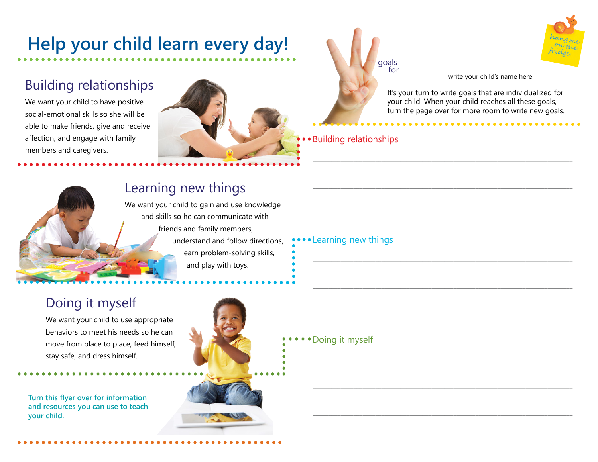# **Help your child learn every day!**

# Building relationships

We want your child to have positive social-emotional skills so she will be able to make friends, give and receive affection, and engage with family members and caregivers.



goals for



write your child's name here

It's your turn to write goals that are individualized for your child. When your child reaches all these goals, turn the page over for more room to write new goals.

\_\_\_\_\_\_\_\_\_\_\_\_\_\_\_\_\_\_\_\_\_\_\_\_\_\_\_\_\_\_\_\_\_\_\_\_\_\_\_\_\_\_\_\_\_\_\_\_\_\_\_\_\_\_\_\_\_\_\_\_\_\_\_\_\_\_\_\_\_\_\_\_\_\_\_\_\_\_\_\_\_\_\_

\_\_\_\_\_\_\_\_\_\_\_\_\_\_\_\_\_\_\_\_\_\_\_\_\_\_\_\_\_\_\_\_\_\_\_\_\_\_\_\_\_\_\_\_\_\_\_\_\_\_\_\_\_\_\_\_\_\_\_\_\_\_\_\_\_\_\_\_\_\_\_\_\_\_\_\_\_\_\_\_\_\_\_

\_\_\_\_\_\_\_\_\_\_\_\_\_\_\_\_\_\_\_\_\_\_\_\_\_\_\_\_\_\_\_\_\_\_\_\_\_\_\_\_\_\_\_\_\_\_\_\_\_\_\_\_\_\_\_\_\_\_\_\_\_\_\_\_\_\_\_\_\_\_\_\_\_\_\_\_\_\_\_\_\_\_\_

\_\_\_\_\_\_\_\_\_\_\_\_\_\_\_\_\_\_\_\_\_\_\_\_\_\_\_\_\_\_\_\_\_\_\_\_\_\_\_\_\_\_\_\_\_\_\_\_\_\_\_\_\_\_\_\_\_\_\_\_\_\_\_\_\_\_\_\_\_\_\_\_\_\_\_\_\_\_\_\_\_\_\_

\_\_\_\_\_\_\_\_\_\_\_\_\_\_\_\_\_\_\_\_\_\_\_\_\_\_\_\_\_\_\_\_\_\_\_\_\_\_\_\_\_\_\_\_\_\_\_\_\_\_\_\_\_\_\_\_\_\_\_\_\_\_\_\_\_\_\_\_\_\_\_\_\_\_\_\_\_\_\_\_\_\_\_

\_\_\_\_\_\_\_\_\_\_\_\_\_\_\_\_\_\_\_\_\_\_\_\_\_\_\_\_\_\_\_\_\_\_\_\_\_\_\_\_\_\_\_\_\_\_\_\_\_\_\_\_\_\_\_\_\_\_\_\_\_\_\_\_\_\_\_\_\_\_\_\_\_\_\_\_\_\_\_\_\_\_\_

\_\_\_\_\_\_\_\_\_\_\_\_\_\_\_\_\_\_\_\_\_\_\_\_\_\_\_\_\_\_\_\_\_\_\_\_\_\_\_\_\_\_\_\_\_\_\_\_\_\_\_\_\_\_\_\_\_\_\_\_\_\_\_\_\_\_\_\_\_\_\_\_\_\_\_\_\_\_\_\_\_\_\_

\_\_\_\_\_\_\_\_\_\_\_\_\_\_\_\_\_\_\_\_\_\_\_\_\_\_\_\_\_\_\_\_\_\_\_\_\_\_\_\_\_\_\_\_\_\_\_\_\_\_\_\_\_\_\_\_\_\_\_\_\_\_\_\_\_\_\_\_\_\_\_\_\_\_\_\_\_\_\_\_\_\_\_

\_\_\_\_\_\_\_\_\_\_\_\_\_\_\_\_\_\_\_\_\_\_\_\_\_\_\_\_\_\_\_\_\_\_\_\_\_\_\_\_\_\_\_\_\_\_\_\_\_\_\_\_\_\_\_\_\_\_\_\_\_\_\_\_\_\_\_\_\_\_\_\_\_\_\_\_\_\_\_\_\_\_\_

Building relationships

Learning new things



### Learning new things

We want your child to gain and use knowledge and skills so he can communicate with friends and family members, understand and follow directions, learn problem-solving skills, and play with toys.

## Doing it myself

We want your child to use appropriate behaviors to meet his needs so he can move from place to place, feed himself, stay safe, and dress himself.

**Turn this flyer over for information and resources you can use to teach your child.** 



Doing it myself